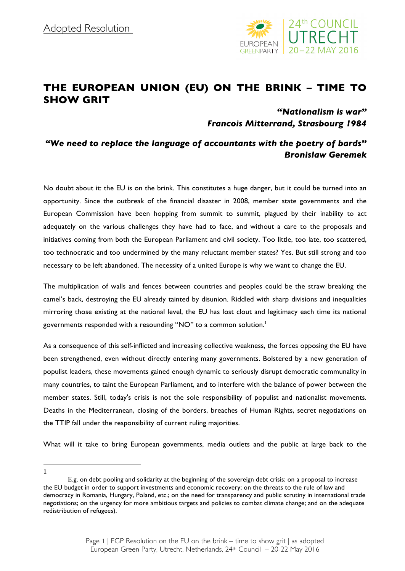

## **THE EUROPEAN UNION (EU) ON THE BRINK – TIME TO SHOW GRIT**

## *"Nationalism is war" Francois Mitterrand, Strasbourg 1984*

## *"We need to replace the language of accountants with the poetry of bards" Bronislaw Geremek*

No doubt about it: the EU is on the brink. This constitutes a huge danger, but it could be turned into an opportunity. Since the outbreak of the financial disaster in 2008, member state governments and the European Commission have been hopping from summit to summit, plagued by their inability to act adequately on the various challenges they have had to face, and without a care to the proposals and initiatives coming from both the European Parliament and civil society. Too little, too late, too scattered, too technocratic and too undermined by the many reluctant member states? Yes. But still strong and too necessary to be left abandoned. The necessity of a united Europe is why we want to change the EU.

The multiplication of walls and fences between countries and peoples could be the straw breaking the camel's back, destroying the EU already tainted by disunion. Riddled with sharp divisions and inequalities mirroring those existing at the national level, the EU has lost clout and legitimacy each time its national governments responded with a resounding "NO" to a common solution.<sup>1</sup>

As a consequence of this self-inflicted and increasing collective weakness, the forces opposing the EU have been strengthened, even without directly entering many governments. Bolstered by a new generation of populist leaders, these movements gained enough dynamic to seriously disrupt democratic communality in many countries, to taint the European Parliament, and to interfere with the balance of power between the member states. Still, today's crisis is not the sole responsibility of populist and nationalist movements. Deaths in the Mediterranean, closing of the borders, breaches of Human Rights, secret negotiations on the TTIP fall under the responsibility of current ruling majorities.

What will it take to bring European governments, media outlets and the public at large back to the

l 1

E.g. on debt pooling and solidarity at the beginning of the sovereign debt crisis; on a proposal to increase the EU budget in order to support investments and economic recovery; on the threats to the rule of law and democracy in Romania, Hungary, Poland, etc.; on the need for transparency and public scrutiny in international trade negotiations; on the urgency for more ambitious targets and policies to combat climate change; and on the adequate redistribution of refugees).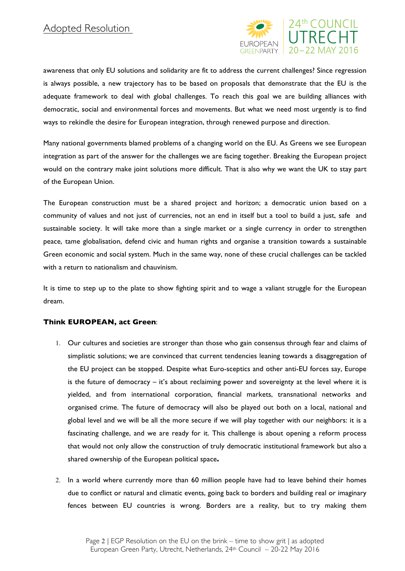

awareness that only EU solutions and solidarity are fit to address the current challenges? Since regression is always possible, a new trajectory has to be based on proposals that demonstrate that the EU is the adequate framework to deal with global challenges. To reach this goal we are building alliances with democratic, social and environmental forces and movements. But what we need most urgently is to find ways to rekindle the desire for European integration, through renewed purpose and direction.

Many national governments blamed problems of a changing world on the EU. As Greens we see European integration as part of the answer for the challenges we are facing together. Breaking the European project would on the contrary make joint solutions more difficult. That is also why we want the UK to stay part of the European Union.

The European construction must be a shared project and horizon; a democratic union based on a community of values and not just of currencies, not an end in itself but a tool to build a just, safe and sustainable society. It will take more than a single market or a single currency in order to strengthen peace, tame globalisation, defend civic and human rights and organise a transition towards a sustainable Green economic and social system. Much in the same way, none of these crucial challenges can be tackled with a return to nationalism and chauvinism.

It is time to step up to the plate to show fighting spirit and to wage a valiant struggle for the European dream.

## **Think EUROPEAN, act Green**:

- 1. Our cultures and societies are stronger than those who gain consensus through fear and claims of simplistic solutions; we are convinced that current tendencies leaning towards a disaggregation of the EU project can be stopped. Despite what Euro-sceptics and other anti-EU forces say, Europe is the future of democracy – it's about reclaiming power and sovereignty at the level where it is yielded, and from international corporation, financial markets, transnational networks and organised crime. The future of democracy will also be played out both on a local, national and global level and we will be all the more secure if we will play together with our neighbors: it is a fascinating challenge, and we are ready for it. This challenge is about opening a reform process that would not only allow the construction of truly democratic institutional framework but also a shared ownership of the European political space**.**
- 2. In a world where currently more than 60 million people have had to leave behind their homes due to conflict or natural and climatic events, going back to borders and building real or imaginary fences between EU countries is wrong. Borders are a reality, but to try making them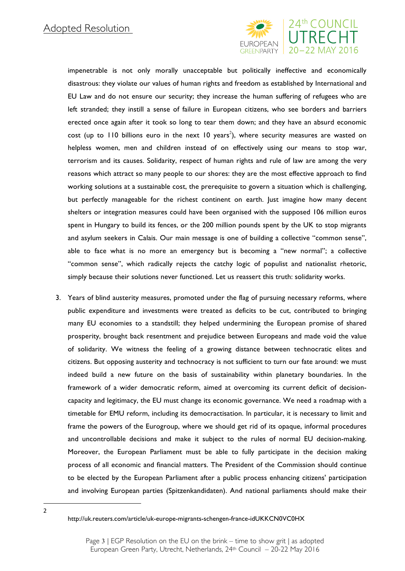

impenetrable is not only morally unacceptable but politically ineffective and economically disastrous: they violate our values of human rights and freedom as established by International and EU Law and do not ensure our security; they increase the human suffering of refugees who are left stranded; they instill a sense of failure in European citizens, who see borders and barriers erected once again after it took so long to tear them down; and they have an absurd economic cost (up to 110 billions euro in the next 10 years<sup>2</sup>), where security measures are wasted on helpless women, men and children instead of on effectively using our means to stop war, terrorism and its causes. Solidarity, respect of human rights and rule of law are among the very reasons which attract so many people to our shores: they are the most effective approach to find working solutions at a sustainable cost, the prerequisite to govern a situation which is challenging, but perfectly manageable for the richest continent on earth. Just imagine how many decent shelters or integration measures could have been organised with the supposed 106 million euros spent in Hungary to build its fences, or the 200 million pounds spent by the UK to stop migrants and asylum seekers in Calais. Our main message is one of building a collective "common sense", able to face what is no more an emergency but is becoming a "new normal"; a collective "common sense", which radically rejects the catchy logic of populist and nationalist rhetoric, simply because their solutions never functioned. Let us reassert this truth: solidarity works.

3. Years of blind austerity measures, promoted under the flag of pursuing necessary reforms, where public expenditure and investments were treated as deficits to be cut, contributed to bringing many EU economies to a standstill; they helped undermining the European promise of shared prosperity, brought back resentment and prejudice between Europeans and made void the value of solidarity. We witness the feeling of a growing distance between technocratic elites and citizens. But opposing austerity and technocracy is not sufficient to turn our fate around: we must indeed build a new future on the basis of sustainability within planetary boundaries. In the framework of a wider democratic reform, aimed at overcoming its current deficit of decisioncapacity and legitimacy, the EU must change its economic governance. We need a roadmap with a timetable for EMU reform, including its democractisation. In particular, it is necessary to limit and frame the powers of the Eurogroup, where we should get rid of its opaque, informal procedures and uncontrollable decisions and make it subject to the rules of normal EU decision-making. Moreover, the European Parliament must be able to fully participate in the decision making process of all economic and financial matters. The President of the Commission should continue to be elected by the European Parliament after a public process enhancing citizens' participation and involving European parties (Spitzenkandidaten). And national parliaments should make their

l 2

http://uk.reuters.com/article/uk-europe-migrants-schengen-france-idUKKCN0VC0HX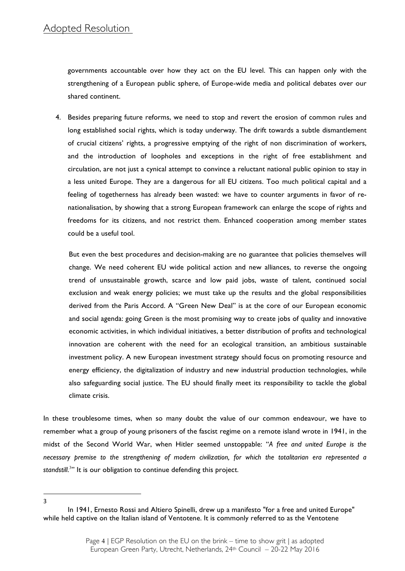governments accountable over how they act on the EU level. This can happen only with the strengthening of a European public sphere, of Europe-wide media and political debates over our shared continent.

4. Besides preparing future reforms, we need to stop and revert the erosion of common rules and long established social rights, which is today underway. The drift towards a subtle dismantlement of crucial citizens' rights, a progressive emptying of the right of non discrimination of workers, and the introduction of loopholes and exceptions in the right of free establishment and circulation, are not just a cynical attempt to convince a reluctant national public opinion to stay in a less united Europe. They are a dangerous for all EU citizens. Too much political capital and a feeling of togetherness has already been wasted: we have to counter arguments in favor of renationalisation, by showing that a strong European framework can enlarge the scope of rights and freedoms for its citizens, and not restrict them. Enhanced cooperation among member states could be a useful tool.

But even the best procedures and decision-making are no guarantee that policies themselves will change. We need coherent EU wide political action and new alliances, to reverse the ongoing trend of unsustainable growth, scarce and low paid jobs, waste of talent, continued social exclusion and weak energy policies; we must take up the results and the global responsibilities derived from the Paris Accord. A "Green New Deal" is at the core of our European economic and social agenda: going Green is the most promising way to create jobs of quality and innovative economic activities, in which individual initiatives, a better distribution of profits and technological innovation are coherent with the need for an ecological transition, an ambitious sustainable investment policy. A new European investment strategy should focus on promoting resource and energy efficiency, the digitalization of industry and new industrial production technologies, while also safeguarding social justice. The EU should finally meet its responsibility to tackle the global climate crisis.

In these troublesome times, when so many doubt the value of our common endeavour, we have to remember what a group of young prisoners of the fascist regime on a remote island wrote in 1941, in the midst of the Second World War, when Hitler seemed unstoppable: "*A free and united Europe is the necessary premise to the strengthening of modern civilization, for which the totalitarian era represented a*  standstill.<sup>3</sup>" It is our obligation to continue defending this project.

l 3

In 1941, Ernesto Rossi and Altiero Spinelli, drew up a manifesto "for a free and united Europe" while held captive on the Italian island of Ventotene. It is commonly referred to as the Ventotene